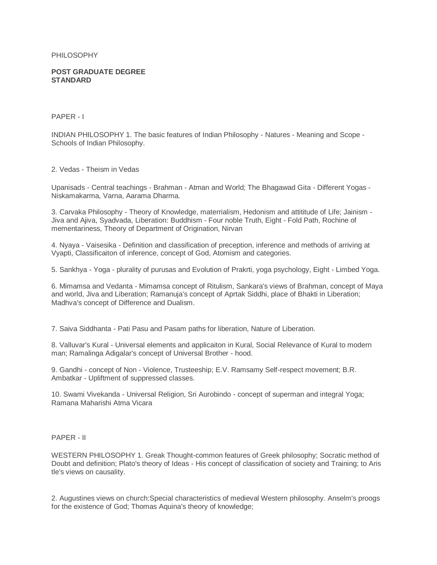PHILOSOPHY

## **POST GRADUATE DEGREE STANDARD**

PAPER - I

INDIAN PHILOSOPHY 1. The basic features of Indian Philosophy - Natures - Meaning and Scope - Schools of Indian Philosophy.

2. Vedas - Theism in Vedas

Upanisads - Central teachings - Brahman - Atman and World; The Bhagawad Gita - Different Yogas - Niskamakarma, Varna, Aarama Dharma.

3. Carvaka Philosophy - Theory of Knowledge, materrialism, Hedonism and attititude of Life; Jainism - Jiva and Ajiva, Syadvada, Liberation: Buddhism - Four noble Truth, Eight - Fold Path, Rochine of mementariness, Theory of Department of Origination, Nirvan

4. Nyaya - Vaisesika - Definition and classification of preception, inference and methods of arriving at Vyapti, Classificaiton of inference, concept of God, Atomism and categories.

5. Sankhya - Yoga - plurality of purusas and Evolution of Prakrti, yoga psychology, Eight - Limbed Yoga.

6. Mimamsa and Vedanta - Mimamsa concept of Ritulism, Sankara's views of Brahman, concept of Maya and world, Jiva and Liberation; Ramanuja's concept of Aprtak Siddhi, place of Bhakti in Liberation; Madhva's concept of Difference and Dualism.

7. Saiva Siddhanta - Pati Pasu and Pasam paths for liberation, Nature of Liberation.

8. Valluvar's Kural - Universal elements and applicaiton in Kural, Social Relevance of Kural to modern man; Ramalinga Adigalar's concept of Universal Brother - hood.

9. Gandhi - concept of Non - Violence, Trusteeship; E.V. Ramsamy Self-respect movement; B.R. Ambatkar - Upliftment of suppressed classes.

10. Swami Vivekanda - Universal Religion, Sri Aurobindo - concept of superman and integral Yoga; Ramana Maharishi Atma Vicara

PAPER - II

WESTERN PHILOSOPHY 1. Greak Thought-common features of Greek philosophy; Socratic method of Doubt and definition; Plato's theory of Ideas - His concept of classification of society and Training; to Aris tle's views on causality.

2. Augustines views on church:Special characteristics of medieval Western philosophy. Anselm's proogs for the existence of God; Thomas Aquina's theory of knowledge;